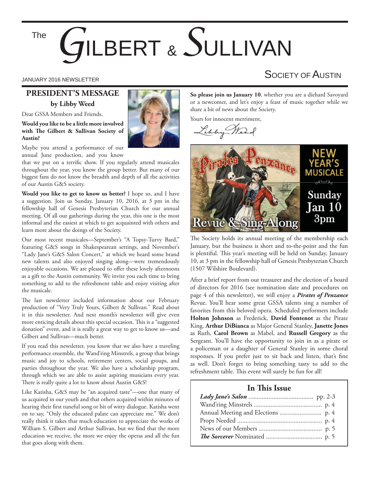The

# *G*ILBERT & *S*ULLIVAN

#### **PRESIDENT'S MESSAGE by Libby Weed**

Dear GSSA Members and Friends,

**Would you like to be a little more involved**  with The Gilbert & Sullivan Society of **Austin?**



Maybe you attend a performance of our annual June production, and you know

that we put on a terrific show. If you regularly attend musicales throughout the year, you know the group better. But many of our biggest fans do not know the breadth and depth of all the activities of our Austin G&S society.

**Would you like to get to know us better?** I hope so, and I have a suggestion. Join us Sunday, January 10, 2016, at 3 pm in the fellowship hall of Genesis Presbyterian Church for our annual meeting. Of all our gatherings during the year, this one is the most informal and the easiest at which to get acquainted with others and learn more about the doings of the Society.

Our most recent musicales—September's "A Topsy-Turvy Bard," featuring G&S songs in Shakespearean settings, and November's "Lady Jane's G&S Salon Concert," at which we heard some brand new talents and also enjoyed singing along—were tremendously enjoyable occasions. We are pleased to offer these lovely afternoons as a gift to the Austin community. We invite you each time to bring something to add to the refreshment table and enjoy visiting after the musicale.

The last newsletter included information about our February production of "Very Truly Yours, Gilbert & Sullivan." Read about it in this newsletter. And next month's newsletter will give even more enticing details about this special occasion. This is a "suggested donation" event, and it is really a great way to get to know us—and Gilbert and Sullivan—much better.

If you read this newsletter, you know that we also have a traveling performance ensemble, the Wand'ring Minstrels, a group that brings music and joy to schools, retirement centers, social groups, and parties throughout the year. We also have a scholarship program, through which we are able to assist aspiring musicians every year. There is really quite a lot to know about Austin G&S!

Like Katisha, G&S may be "an acquired taste"—one that many of us acquired in our youth and that others acquired within minutes of hearing their first tuneful song or bit of witty dialogue. Katisha went on to say, "Only the educated palate can appreciate me." We don't really think it takes that much education to appreciate the works of William S. Gilbert and Arthur Sullivan, but we find that the more education we receive, the more we enjoy the operas and all the fun that goes along with them.

JANUARY 2016 NEWSLETTER  $\mathsf{S}$ OCIETY OF  $\mathsf{A}$ ustin

**So please join us January 10**, whether you are a diehard Savoyard or a newcomer, and let's enjoy a feast of music together while we share a bit of news about the Society.

Yours for innocent merriment,

Libby-N.



The Society holds its annual meeting of the membership each January, but the business is short and to-the-point and the fun is plentiful. This year's meeting will be held on Sunday, January 10, at 3 pm in the fellowship hall of Genesis Presbyterian Church (1507 Wilshire Boulevard).

After a brief report from our treasurer and the election of a board of directors for 2016 (see nomination slate and procedures on page 4 of this newsletter), we will enjoy a *Pirates of Penzance* Revue. You'll hear some great GSSA talents sing a number of favorites from this beloved opera. Scheduled performers include **Holton Johnson** as Frederick, **David Fontenot** as the Pirate King, **Arthur DiBianca** as Major General Stanley, **Janette Jones** as Ruth, **Carol Brown** as Mabel, and **Russell Gregory** as the Sergeant. You'll have the opportunity to join in as a pirate or a policeman or a daughter of General Stanley in some choral responses. If you prefer just to sit back and listen, that's fine as well. Don't forget to bring something tasty to add to the refreshment table. This event will surely be fun for all!

#### **In This Issue**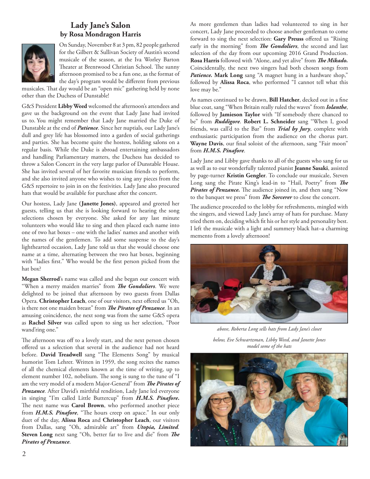#### **Lady Jane's Salon by Rosa Mondragon Harris**



On Sunday, November 8 at 3 pm, 82 people gathered for the Gilbert & Sullivan Society of Austin's second musicale of the season, at the Iva Worley Barton Theater at Brentwood Christian School. The sunny afternoon promised to be a fun one, as the format of the day's program would be different from previous

musicales. That day would be an "open mic" gathering held by none other than the Duchess of Dunstable!

G&S President **Libby Weed** welcomed the afternoon's attendees and gave us the background on the event that Lady Jane had invited us to. You might remember that Lady Jane married the Duke of Dunstable at the end of *Patience*. Since her nuptials, our Lady Jane's dull and grey life has blossomed into a garden of social gatherings and parties. She has become quite the hostess, holding salons on a regular basis. While the Duke is abroad entertaining ambassadors and handling Parliamentary matters, the Duchess has decided to throw a Salon Concert in the very large parlor of Dunstable House. She has invited several of her favorite musician friends to perform, and she also invited anyone who wishes to sing any pieces from the G&S repertoire to join in on the festivities. Lady Jane also procured hats that would be available for purchase after the concert.

Our hostess, Lady Jane **(Janette Jones)**, appeared and greeted her guests, telling us that she is looking forward to hearing the song selections chosen by everyone. She asked for any last minute volunteers who would like to sing and then placed each name into one of two hat boxes – one with the ladies' names and another with the names of the gentlemen. To add some suspense to the day's lighthearted occasion, Lady Jane told us that she would choose one name at a time, alternating between the two hat boxes, beginning with "ladies first." Who would be the first person picked from the hat box?

Megan Sherrod's name was called and she began our concert with "When a merry maiden marries" from *The Gondoliers*. We were delighted to be joined that afternoon by two guests from Dallas Opera. **Christopher Leach**, one of our visitors, next offered us "Oh, is there not one maiden breast" from *The Pirates of Penzance*. In an amusing coincidence, the next song was from the same G&S opera as **Rachel Silver** was called upon to sing us her selection, "Poor wand'ring one."

The afternoon was off to a lovely start, and the next person chosen offered us a selection that several in the audience had not heard before. David Treadwell sang "The Elements Song" by musical humorist Tom Lehrer. Written in 1959, the song recites the names of all the chemical elements known at the time of writing, up to element number 102, nobelium. The song is sung to the tune of "I am the very model of a modern Major-General" from *The Pirates of Penzance.* After David's mirthful rendition, Lady Jane led everyone in singing "I'm called Little Buttercup" from *H.M.S. Pinafore***.**  The next name was **Carol Brown**, who performed another piece from *H.M.S. Pinafore*, "The hours creep on apace." In our only duet of the day, **Alissa Roca** and **Christopher Leach**, our visitors from Dallas, sang "Oh, admirable art" from *Utopia, Limited.*  Steven Long next sang "Oh, better far to live and die" from The *Pirates of Penzance*.

As more gentlemen than ladies had volunteered to sing in her concert, Lady Jane proceeded to choose another gentleman to come forward to sing the next selection: Gary Preuss offered us "Rising early in the morning" from *The Gondoliers*, the second and last selection of the day from our upcoming 2016 Grand Production. Rosa Harris followed with "Alone, and yet alive" from *The Mikado*. Coincidentally, the next two singers had both chosen songs from *Patience.* **Mark Long** sang "A magnet hung in a hardware shop," followed by **Alissa Roca**, who performed "I cannot tell what this love may be."

As names continued to be drawn, **Bill Hatcher**, decked out in a fine blue coat, sang "When Britain really ruled the waves" from *Iolanthe*, followed by **Jamieson Taylor** with "If somebody there chanced to be" from *Ruddigore*. **Robert L. Schneider** sang "When I, good friends, was call'd to the Bar" from *Trial by Jury*, complete with enthusiastic participation from the audience on the chorus part. Wayne Davis, our final soloist of the afternoon, sang "Fair moon" from *H.M.S. Pinafore*.

Lady Jane and Libby gave thanks to all of the guests who sang for us as well as to our wonderfully talented pianist **Jeanne Sasaki**, assisted by page-turner **Kristin Gengler**. To conclude our musicale, Steven Long sang the Pirate King's lead-in to "Hail, Poetry" from The Pirates of Penzance. The audience joined in, and then sang "Now to the banquet we press" from *The Sorcerer* to close the concert.

The audience proceeded to the lobby for refreshments, mingled with the singers, and viewed Lady Jane's array of hats for purchase. Many tried them on, deciding which fit his or her style and personality best. I left the musicale with a light and summery black hat–a charming memento from a lovely afternoon!



*above, Roberta Long sells hats from Lady Jane's closet below, Eve Schwartzman, Libby Weed, and Janette Jones model some of the hats*

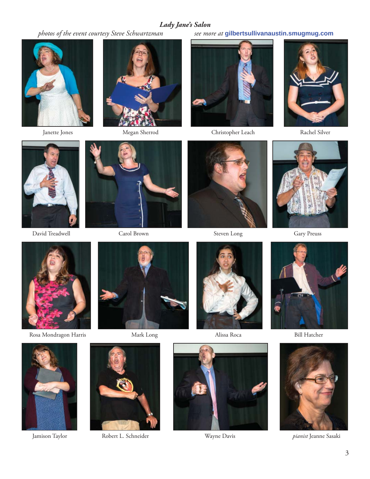**Lady Jane's Salon**<br>photos of the event courtesy Steve Schwartzman see mo





 *photos of the event courtesy Steve Schwartzman see more at* **gilbertsullivanaustin.smugmug.com**



Janette Jones Megan Sherrod Christopher Leach Rachel Silver





David Treadwell Carol Brown Steven Long Gary Preuss









Rosa Mondragon Harris Mark Long Mark Hong Alissa Roca Bill Hatcher













Jamison Taylor Robert L. Schneider Wayne Davis *pianist* Jeanne Sasaki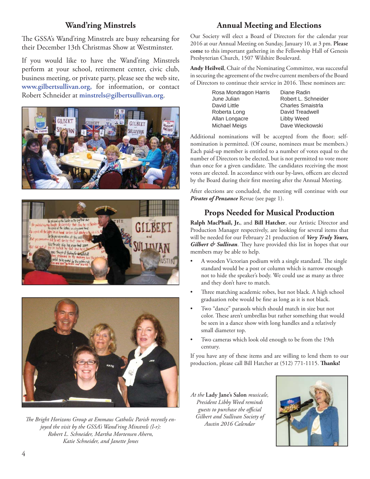### **Wand'ring Minstrels**

The GSSA's Wand'ring Minstrels are busy rehearsing for their December 13th Christmas Show at Westminster.

If you would like to have the Wand'ring Minstrels perform at your school, retirement center, civic club, business meeting, or private party, please see the web site, **www.gilbertsullivan.org,** for information, or contact Robert Schneider at **minstrels@gilbertsullivan.org**.







The Bright Horizons Group at Emmaus Catholic Parish recently en*joyed the visit by the GSSA's Wand'ring Minstrels (l-r): Robert L. Schneider, Martha Mortensen Ahern, Katie Schneider, and Janette Jones*

## **Annual Meeting and Elections**

Our Society will elect a Board of Directors for the calendar year 2016 at our Annual Meeting on Sunday, January 10, at 3 pm. **Please come** to this important gathering in the Fellowship Hall of Genesis Presbyterian Church, 1507 Wilshire Boulevard.

**Andy Heilveil**, Chair of the Nominating Committee, was successful in securing the agreement of the twelve current members of the Board of Directors to continue their service in 2016. These nominees are:

| Diane Radin              |
|--------------------------|
| Robert L. Schneider      |
| <b>Charles Smaistrla</b> |
| David Treadwell          |
| Libby Weed               |
| Dave Wieckowski          |
|                          |

Additional nominations will be accepted from the floor; selfnomination is permitted. (Of course, nominees must be members.) Each paid-up member is entitled to a number of votes equal to the number of Directors to be elected, but is not permitted to vote more than once for a given candidate. The candidates receiving the most votes are elected. In accordance with our by-laws, officers are elected by the Board during their first meeting after the Annual Meeting.

After elections are concluded, the meeting will continue with our *Pirates of Penzance* Revue (see page 1).

### **Props Needed for Musical Production**

**Ralph MacPhail, Jr.**, and **Bill Hatcher**, our Artistic Director and Production Manager respectively, are looking for several items that will be needed for our February 21 production of *Very Truly Yours, Gilbert & Sullivan*. They have provided this list in hopes that our members may be able to help.

- A wooden Victorian podium with a single standard. The single standard would be a post or column which is narrow enough not to hide the speaker's body. We could use as many as three and they don't have to match.
- Three matching academic robes, but not black. A high school graduation robe would be fine as long as it is not black.
- Two "dance" parasols which should match in size but not color. These aren't umbrellas but rather something that would be seen in a dance show with long handles and a relatively small diameter top.
- Two cameras which look old enough to be from the 19th century.

If you have any of these items and are willing to lend them to our production, please call Bill Hatcher at (512) 771-1115. Thanks!

*At the* **Lady Jane's Salon** *musicale, President Libby Weed reminds guests to purchase the official Gilbert and Sullivan Society of Austin 2016 Calendar*

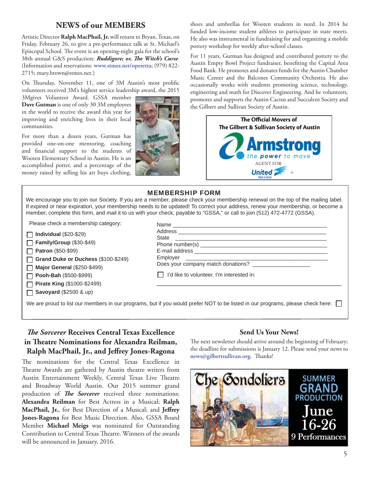#### **NEWS of our MEMBERS**

Artistic Director **Ralph MacPhail, Jr.** will return to Bryan, Texas, on Friday, February 26, to give a pre-performance talk at St. Michael's Episcopal School. The event is an opening-night gala for the school's 38th annual G&S production: *Ruddigore; or, The Witch's Curse*. (Information and reservations: **www.stmes.net/operetta**; (979) 822- 2715; mary.brown@stmes.net.)

On Thursday, November 11, one of 3M Austin's most prolific volunteers received 3M's highest service leadership award, the 2015

3Mgives Volunteer Award. GSSA member **Dave Gutman** is one of only 30 3M employees in the world to receive the award this year for improving and enriching lives in their local communities.

For more than a dozen years, Gutman has provided one-on-one mentoring, coaching and financial support to the students of Wooten Elementary School in Austin. He is an accomplished potter, and a percentage of the money raised by selling his art buys clothing,



shoes and umbrellas for Wooten students in need. In 2014 he funded low-income student athletes to participate in state meets. He also was instrumental in fundraising for and organizing a mobile pottery workshop for weekly after-school classes.

For 11 years, Gutman has designed and contributed pottery to the Austin Empty Bowl Project fundraiser, benefiting the Capital Area Food Bank. He promotes and donates funds for the Austin Chamber Music Center and the Balcones Community Orchestra. He also occasionally works with students promoting science, technology, engineering and math for Discover Engineering. And he volunteers, promotes and supports the Austin Cactus and Succulent Society and the Gilbert and Sullivan Society of Austin.



#### MEMBERSHIP FORM

We encourage you to join our Society. If you are a member, please check your membership renewal on the top of the mailing label. If expired or near expiration, your membership needs to be updated! To correct your address, renew your membership, or become a member, complete this form, and mail it to us with your check, payable to "GSSA," or call to join (512) 472-4772 (GSSA).

Please check a membership category:

**Individual** (\$20-\$29)

**Family/Group** (\$30-\$49) **Patron** (\$50-\$99) П **Grand Duke or Duchess** (\$100-\$249) П

**Major General** (\$250-\$499)  $\Box$ **Pooh-Bah** (\$500-\$999) П

**Pirate King** (\$1000-\$2499)

**Savoyard** (\$2500 & up)

| Does your company match donations?        |
|-------------------------------------------|
| I'd like to volunteer. I'm interested in: |
|                                           |

We are proud to list our members in our programs, but if you would prefer NOT to be listed in our programs, please check here:  $\Box$ 

#### *The Sorcerer* Receives Central Texas Excellence in Theatre Nominations for Alexandra Reilman, Ralph MacPhail, Jr., and Jeffrey Jones-Ragona

The nominations for the Central Texas Excellence in Theatre Awards are gathered by Austin theatre writers from Austin Entertainment Weekly, Central Texas Live Theatre and Broadway World Austin. Our 2015 summer grand production of *The Sorcerer* received three nominations: **Alexandra Reilman** for Best Actress in a Musical; **Ralph MacPhail, Jr.**, for Best Direction of a Musical; and Jeffrey **Jones-Ragona** for Best Music Direction. Also, GSSA Board Member **Michael Meigs** was nominated for Outstanding Contribution to Central Texas Theatre. Winners of the awards will be announced in January, 2016.

#### **Send Us Your News!**

The next newsletter should arrive around the beginning of February; the deadline for submissions is January 12. Please send your news to news@gilbertsullivan.org. Thanks!